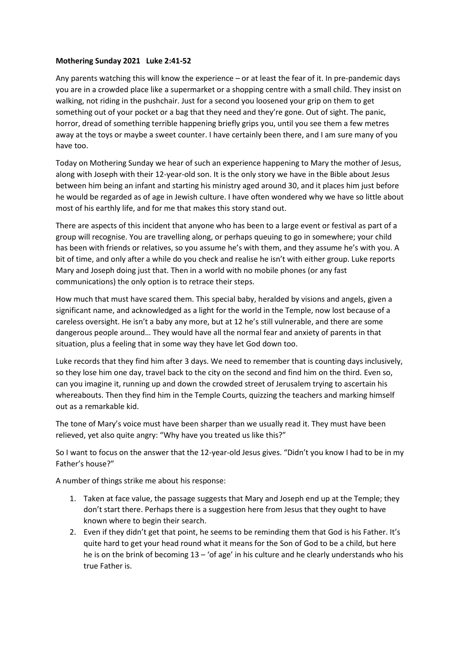## **Mothering Sunday 2021 Luke 2:41-52**

Any parents watching this will know the experience – or at least the fear of it. In pre-pandemic days you are in a crowded place like a supermarket or a shopping centre with a small child. They insist on walking, not riding in the pushchair. Just for a second you loosened your grip on them to get something out of your pocket or a bag that they need and they're gone. Out of sight. The panic, horror, dread of something terrible happening briefly grips you, until you see them a few metres away at the toys or maybe a sweet counter. I have certainly been there, and I am sure many of you have too.

Today on Mothering Sunday we hear of such an experience happening to Mary the mother of Jesus, along with Joseph with their 12-year-old son. It is the only story we have in the Bible about Jesus between him being an infant and starting his ministry aged around 30, and it places him just before he would be regarded as of age in Jewish culture. I have often wondered why we have so little about most of his earthly life, and for me that makes this story stand out.

There are aspects of this incident that anyone who has been to a large event or festival as part of a group will recognise. You are travelling along, or perhaps queuing to go in somewhere; your child has been with friends or relatives, so you assume he's with them, and they assume he's with you. A bit of time, and only after a while do you check and realise he isn't with either group. Luke reports Mary and Joseph doing just that. Then in a world with no mobile phones (or any fast communications) the only option is to retrace their steps.

How much that must have scared them. This special baby, heralded by visions and angels, given a significant name, and acknowledged as a light for the world in the Temple, now lost because of a careless oversight. He isn't a baby any more, but at 12 he's still vulnerable, and there are some dangerous people around… They would have all the normal fear and anxiety of parents in that situation, plus a feeling that in some way they have let God down too.

Luke records that they find him after 3 days. We need to remember that is counting days inclusively, so they lose him one day, travel back to the city on the second and find him on the third. Even so, can you imagine it, running up and down the crowded street of Jerusalem trying to ascertain his whereabouts. Then they find him in the Temple Courts, quizzing the teachers and marking himself out as a remarkable kid.

The tone of Mary's voice must have been sharper than we usually read it. They must have been relieved, yet also quite angry: "Why have you treated us like this?"

So I want to focus on the answer that the 12-year-old Jesus gives. "Didn't you know I had to be in my Father's house?"

A number of things strike me about his response:

- 1. Taken at face value, the passage suggests that Mary and Joseph end up at the Temple; they don't start there. Perhaps there is a suggestion here from Jesus that they ought to have known where to begin their search.
- 2. Even if they didn't get that point, he seems to be reminding them that God is his Father. It's quite hard to get your head round what it means for the Son of God to be a child, but here he is on the brink of becoming 13 – 'of age' in his culture and he clearly understands who his true Father is.